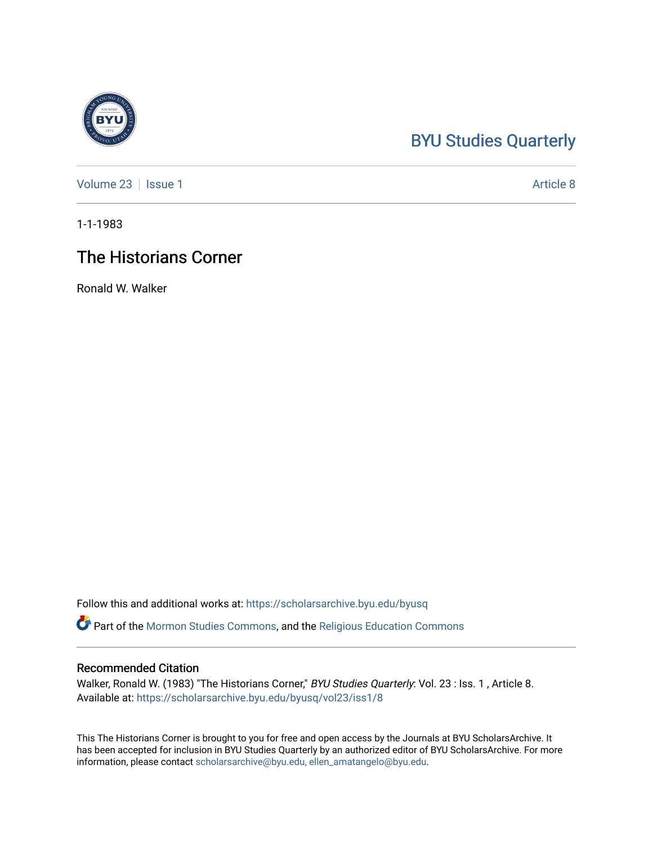## [BYU Studies Quarterly](https://scholarsarchive.byu.edu/byusq)

[Volume 23](https://scholarsarchive.byu.edu/byusq/vol23) | [Issue 1](https://scholarsarchive.byu.edu/byusq/vol23/iss1) Article 8

1-1-1983

## The Historians Corner

Ronald W. Walker

Follow this and additional works at: [https://scholarsarchive.byu.edu/byusq](https://scholarsarchive.byu.edu/byusq?utm_source=scholarsarchive.byu.edu%2Fbyusq%2Fvol23%2Fiss1%2F8&utm_medium=PDF&utm_campaign=PDFCoverPages) 

Part of the [Mormon Studies Commons](http://network.bepress.com/hgg/discipline/1360?utm_source=scholarsarchive.byu.edu%2Fbyusq%2Fvol23%2Fiss1%2F8&utm_medium=PDF&utm_campaign=PDFCoverPages), and the [Religious Education Commons](http://network.bepress.com/hgg/discipline/1414?utm_source=scholarsarchive.byu.edu%2Fbyusq%2Fvol23%2Fiss1%2F8&utm_medium=PDF&utm_campaign=PDFCoverPages) 

## Recommended Citation

Walker, Ronald W. (1983) "The Historians Corner," BYU Studies Quarterly: Vol. 23 : Iss. 1, Article 8. Available at: [https://scholarsarchive.byu.edu/byusq/vol23/iss1/8](https://scholarsarchive.byu.edu/byusq/vol23/iss1/8?utm_source=scholarsarchive.byu.edu%2Fbyusq%2Fvol23%2Fiss1%2F8&utm_medium=PDF&utm_campaign=PDFCoverPages)

This The Historians Corner is brought to you for free and open access by the Journals at BYU ScholarsArchive. It has been accepted for inclusion in BYU Studies Quarterly by an authorized editor of BYU ScholarsArchive. For more information, please contact [scholarsarchive@byu.edu, ellen\\_amatangelo@byu.edu.](mailto:scholarsarchive@byu.edu,%20ellen_amatangelo@byu.edu)